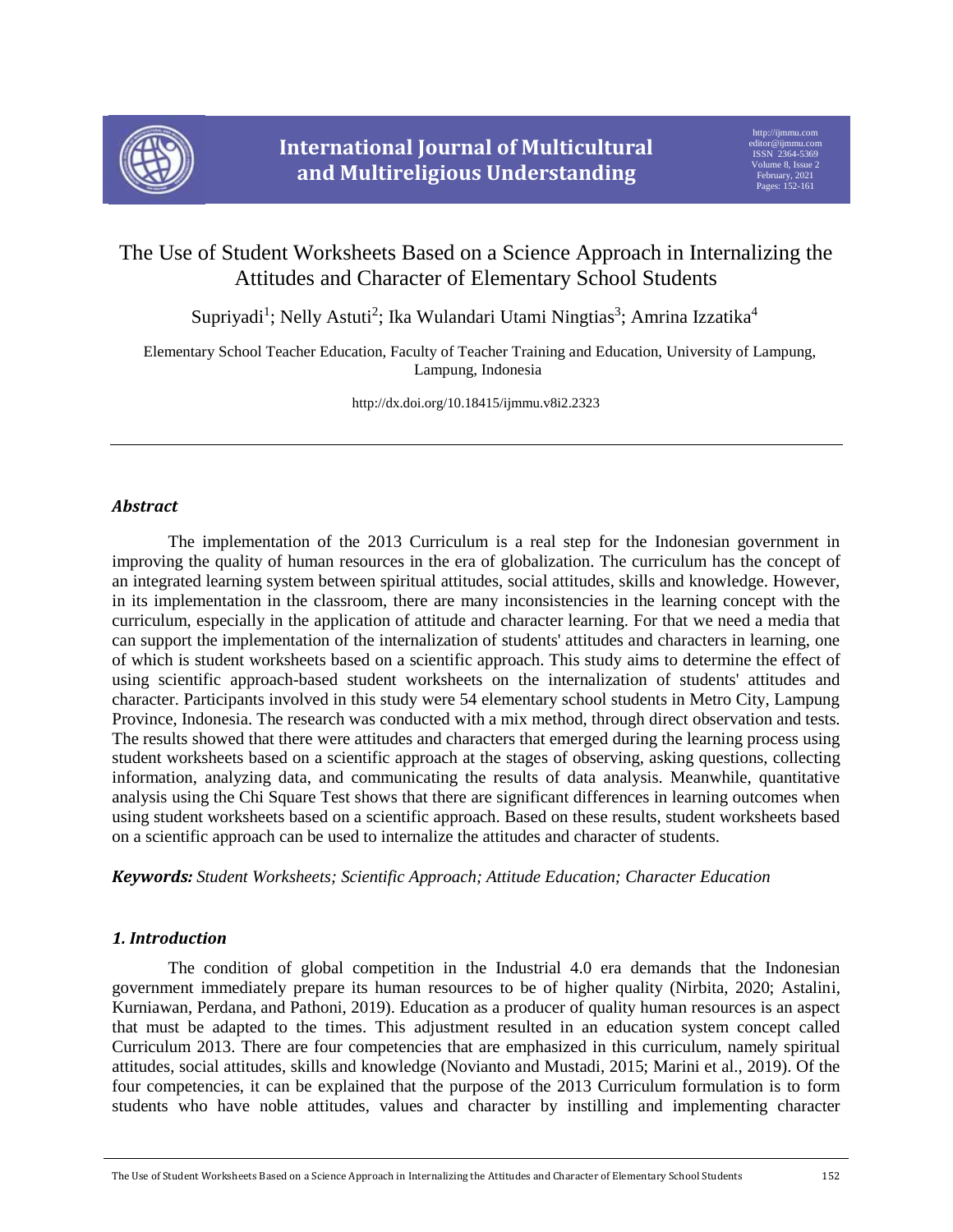

# The Use of Student Worksheets Based on a Science Approach in Internalizing the Attitudes and Character of Elementary School Students

Supriyadi<sup>1</sup>; Nelly Astuti<sup>2</sup>; Ika Wulandari Utami Ningtias<sup>3</sup>; Amrina Izzatika<sup>4</sup>

 Elementary School Teacher Education, Faculty of Teacher Training and Education, University of Lampung, Lampung, Indonesia

http://dx.doi.org/10.18415/ijmmu.v8i2.2323

# *Abstract*

The implementation of the 2013 Curriculum is a real step for the Indonesian government in improving the quality of human resources in the era of globalization. The curriculum has the concept of an integrated learning system between spiritual attitudes, social attitudes, skills and knowledge. However, in its implementation in the classroom, there are many inconsistencies in the learning concept with the curriculum, especially in the application of attitude and character learning. For that we need a media that can support the implementation of the internalization of students' attitudes and characters in learning, one of which is student worksheets based on a scientific approach. This study aims to determine the effect of using scientific approach-based student worksheets on the internalization of students' attitudes and character. Participants involved in this study were 54 elementary school students in Metro City, Lampung Province, Indonesia. The research was conducted with a mix method, through direct observation and tests. The results showed that there were attitudes and characters that emerged during the learning process using student worksheets based on a scientific approach at the stages of observing, asking questions, collecting information, analyzing data, and communicating the results of data analysis. Meanwhile, quantitative analysis using the Chi Square Test shows that there are significant differences in learning outcomes when using student worksheets based on a scientific approach. Based on these results, student worksheets based on a scientific approach can be used to internalize the attitudes and character of students.

*Keywords: Student Worksheets; Scientific Approach; Attitude Education; Character Education*

# *1. Introduction*

The condition of global competition in the Industrial 4.0 era demands that the Indonesian government immediately prepare its human resources to be of higher quality (Nirbita, 2020; Astalini, Kurniawan, Perdana, and Pathoni, 2019). Education as a producer of quality human resources is an aspect that must be adapted to the times. This adjustment resulted in an education system concept called Curriculum 2013. There are four competencies that are emphasized in this curriculum, namely spiritual attitudes, social attitudes, skills and knowledge (Novianto and Mustadi, 2015; Marini et al., 2019). Of the four competencies, it can be explained that the purpose of the 2013 Curriculum formulation is to form students who have noble attitudes, values and character by instilling and implementing character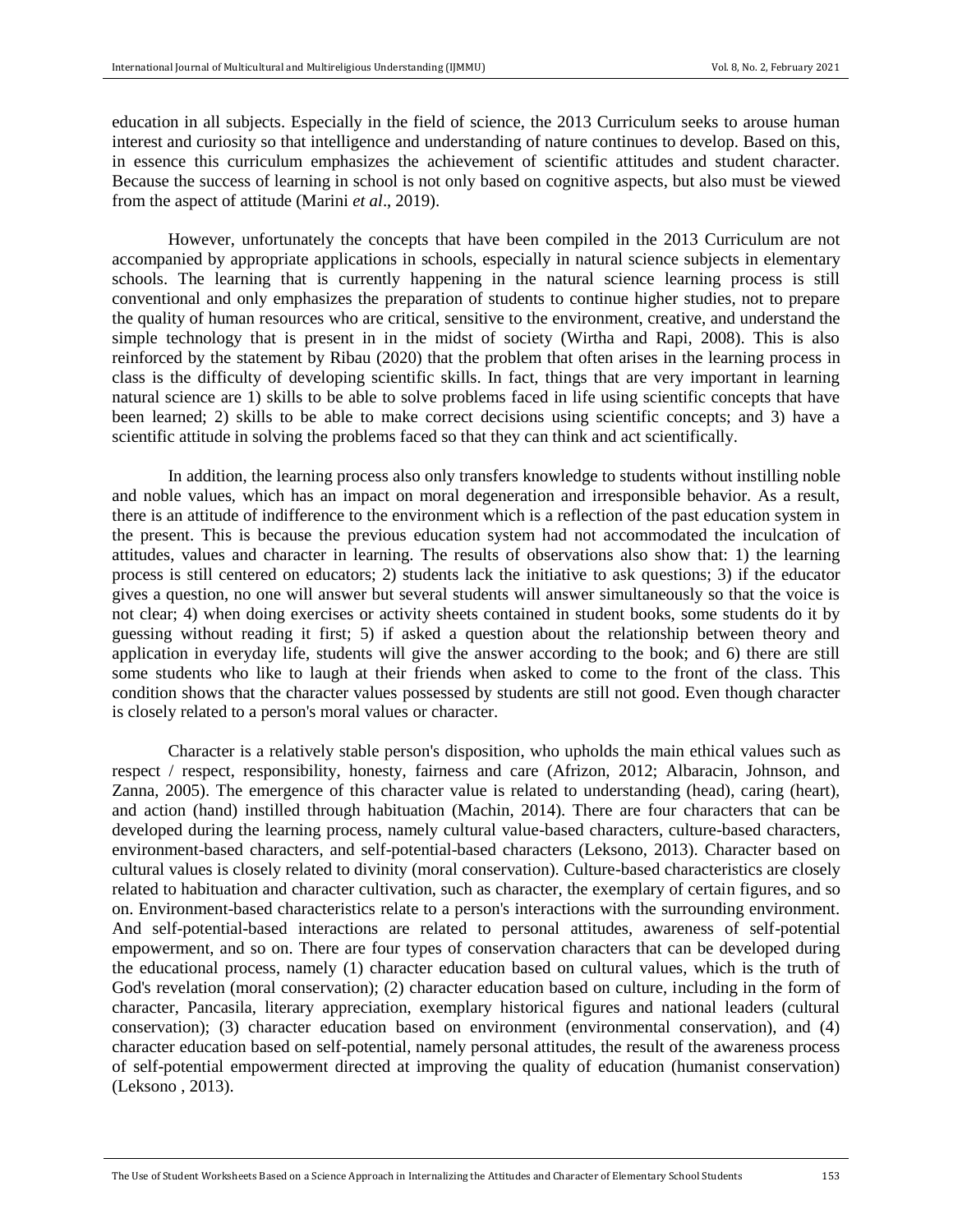education in all subjects. Especially in the field of science, the 2013 Curriculum seeks to arouse human interest and curiosity so that intelligence and understanding of nature continues to develop. Based on this, in essence this curriculum emphasizes the achievement of scientific attitudes and student character. Because the success of learning in school is not only based on cognitive aspects, but also must be viewed from the aspect of attitude (Marini *et al*., 2019).

However, unfortunately the concepts that have been compiled in the 2013 Curriculum are not accompanied by appropriate applications in schools, especially in natural science subjects in elementary schools. The learning that is currently happening in the natural science learning process is still conventional and only emphasizes the preparation of students to continue higher studies, not to prepare the quality of human resources who are critical, sensitive to the environment, creative, and understand the simple technology that is present in in the midst of society (Wirtha and Rapi, 2008). This is also reinforced by the statement by Ribau (2020) that the problem that often arises in the learning process in class is the difficulty of developing scientific skills. In fact, things that are very important in learning natural science are 1) skills to be able to solve problems faced in life using scientific concepts that have been learned; 2) skills to be able to make correct decisions using scientific concepts; and 3) have a scientific attitude in solving the problems faced so that they can think and act scientifically.

In addition, the learning process also only transfers knowledge to students without instilling noble and noble values, which has an impact on moral degeneration and irresponsible behavior. As a result, there is an attitude of indifference to the environment which is a reflection of the past education system in the present. This is because the previous education system had not accommodated the inculcation of attitudes, values and character in learning. The results of observations also show that: 1) the learning process is still centered on educators; 2) students lack the initiative to ask questions; 3) if the educator gives a question, no one will answer but several students will answer simultaneously so that the voice is not clear; 4) when doing exercises or activity sheets contained in student books, some students do it by guessing without reading it first; 5) if asked a question about the relationship between theory and application in everyday life, students will give the answer according to the book; and 6) there are still some students who like to laugh at their friends when asked to come to the front of the class. This condition shows that the character values possessed by students are still not good. Even though character is closely related to a person's moral values or character.

Character is a relatively stable person's disposition, who upholds the main ethical values such as respect / respect, responsibility, honesty, fairness and care (Afrizon, 2012; Albaracin, Johnson, and Zanna, 2005). The emergence of this character value is related to understanding (head), caring (heart), and action (hand) instilled through habituation (Machin, 2014). There are four characters that can be developed during the learning process, namely cultural value-based characters, culture-based characters, environment-based characters, and self-potential-based characters (Leksono, 2013). Character based on cultural values is closely related to divinity (moral conservation). Culture-based characteristics are closely related to habituation and character cultivation, such as character, the exemplary of certain figures, and so on. Environment-based characteristics relate to a person's interactions with the surrounding environment. And self-potential-based interactions are related to personal attitudes, awareness of self-potential empowerment, and so on. There are four types of conservation characters that can be developed during the educational process, namely (1) character education based on cultural values, which is the truth of God's revelation (moral conservation); (2) character education based on culture, including in the form of character, Pancasila, literary appreciation, exemplary historical figures and national leaders (cultural conservation); (3) character education based on environment (environmental conservation), and (4) character education based on self-potential, namely personal attitudes, the result of the awareness process of self-potential empowerment directed at improving the quality of education (humanist conservation) (Leksono , 2013).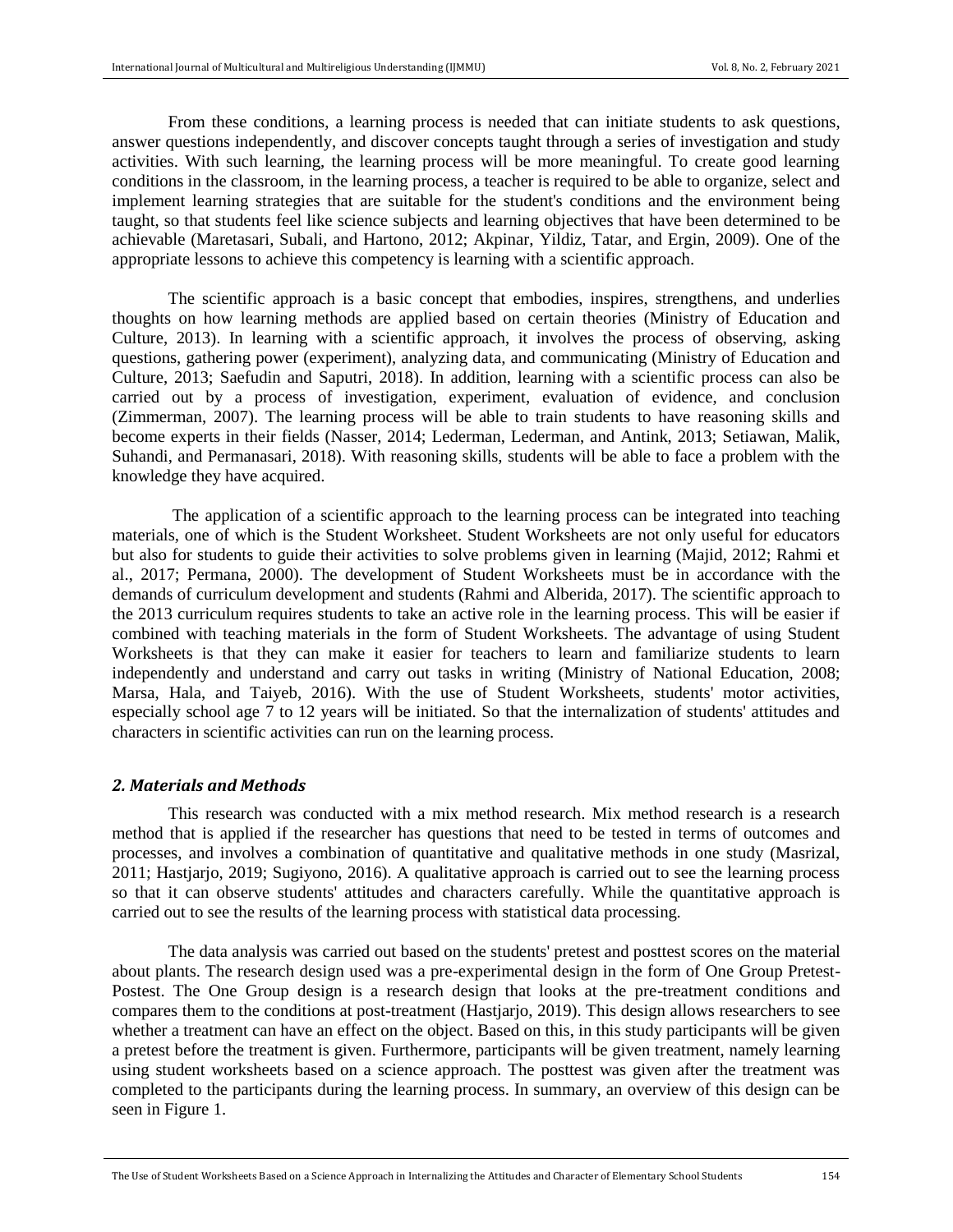From these conditions, a learning process is needed that can initiate students to ask questions, answer questions independently, and discover concepts taught through a series of investigation and study activities. With such learning, the learning process will be more meaningful. To create good learning conditions in the classroom, in the learning process, a teacher is required to be able to organize, select and implement learning strategies that are suitable for the student's conditions and the environment being taught, so that students feel like science subjects and learning objectives that have been determined to be achievable (Maretasari, Subali, and Hartono, 2012; Akpinar, Yildiz, Tatar, and Ergin, 2009). One of the appropriate lessons to achieve this competency is learning with a scientific approach.

The scientific approach is a basic concept that embodies, inspires, strengthens, and underlies thoughts on how learning methods are applied based on certain theories (Ministry of Education and Culture, 2013). In learning with a scientific approach, it involves the process of observing, asking questions, gathering power (experiment), analyzing data, and communicating (Ministry of Education and Culture, 2013; Saefudin and Saputri, 2018). In addition, learning with a scientific process can also be carried out by a process of investigation, experiment, evaluation of evidence, and conclusion (Zimmerman, 2007). The learning process will be able to train students to have reasoning skills and become experts in their fields (Nasser, 2014; Lederman, Lederman, and Antink, 2013; Setiawan, Malik, Suhandi, and Permanasari, 2018). With reasoning skills, students will be able to face a problem with the knowledge they have acquired.

The application of a scientific approach to the learning process can be integrated into teaching materials, one of which is the Student Worksheet. Student Worksheets are not only useful for educators but also for students to guide their activities to solve problems given in learning (Majid, 2012; Rahmi et al., 2017; Permana, 2000). The development of Student Worksheets must be in accordance with the demands of curriculum development and students (Rahmi and Alberida, 2017). The scientific approach to the 2013 curriculum requires students to take an active role in the learning process. This will be easier if combined with teaching materials in the form of Student Worksheets. The advantage of using Student Worksheets is that they can make it easier for teachers to learn and familiarize students to learn independently and understand and carry out tasks in writing (Ministry of National Education, 2008; Marsa, Hala, and Taiyeb, 2016). With the use of Student Worksheets, students' motor activities, especially school age 7 to 12 years will be initiated. So that the internalization of students' attitudes and characters in scientific activities can run on the learning process.

#### *2. Materials and Methods*

This research was conducted with a mix method research. Mix method research is a research method that is applied if the researcher has questions that need to be tested in terms of outcomes and processes, and involves a combination of quantitative and qualitative methods in one study (Masrizal, 2011; Hastjarjo, 2019; Sugiyono, 2016). A qualitative approach is carried out to see the learning process so that it can observe students' attitudes and characters carefully. While the quantitative approach is carried out to see the results of the learning process with statistical data processing.

The data analysis was carried out based on the students' pretest and posttest scores on the material about plants. The research design used was a pre-experimental design in the form of One Group Pretest-Postest. The One Group design is a research design that looks at the pre-treatment conditions and compares them to the conditions at post-treatment (Hastjarjo, 2019). This design allows researchers to see whether a treatment can have an effect on the object. Based on this, in this study participants will be given a pretest before the treatment is given. Furthermore, participants will be given treatment, namely learning using student worksheets based on a science approach. The posttest was given after the treatment was completed to the participants during the learning process. In summary, an overview of this design can be seen in Figure 1.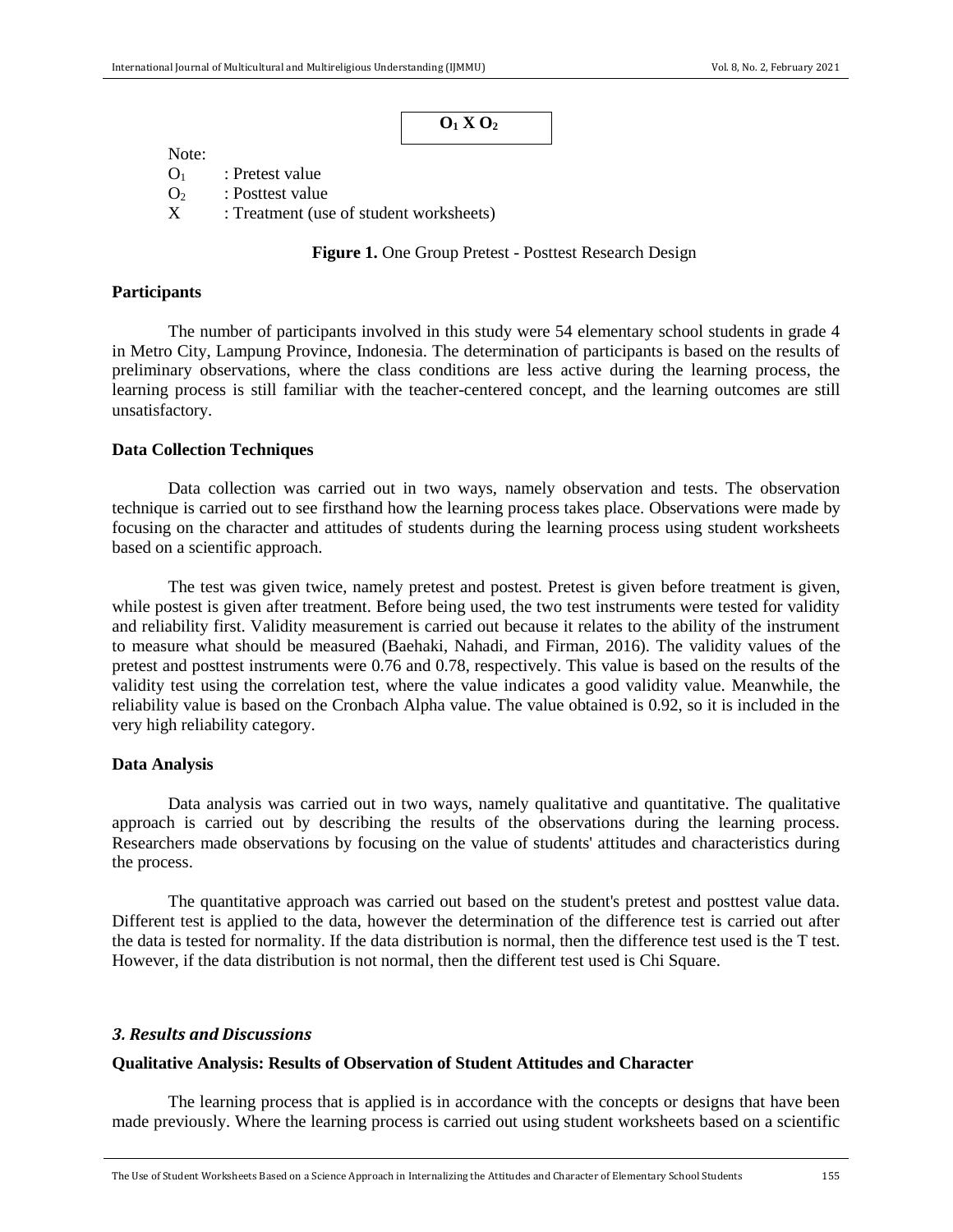Note:

 $O_1$ : Pretest value  $\Omega_2$ : Posttest value

X : Treatment (use of student worksheets)

**Figure 1.** One Group Pretest - Posttest Research Design

### **Participants**

The number of participants involved in this study were 54 elementary school students in grade 4 in Metro City, Lampung Province, Indonesia. The determination of participants is based on the results of preliminary observations, where the class conditions are less active during the learning process, the learning process is still familiar with the teacher-centered concept, and the learning outcomes are still unsatisfactory.

## **Data Collection Techniques**

Data collection was carried out in two ways, namely observation and tests. The observation technique is carried out to see firsthand how the learning process takes place. Observations were made by focusing on the character and attitudes of students during the learning process using student worksheets based on a scientific approach.

The test was given twice, namely pretest and postest. Pretest is given before treatment is given, while postest is given after treatment. Before being used, the two test instruments were tested for validity and reliability first. Validity measurement is carried out because it relates to the ability of the instrument to measure what should be measured (Baehaki, Nahadi, and Firman, 2016). The validity values of the pretest and posttest instruments were 0.76 and 0.78, respectively. This value is based on the results of the validity test using the correlation test, where the value indicates a good validity value. Meanwhile, the reliability value is based on the Cronbach Alpha value. The value obtained is 0.92, so it is included in the very high reliability category.

#### **Data Analysis**

Data analysis was carried out in two ways, namely qualitative and quantitative. The qualitative approach is carried out by describing the results of the observations during the learning process. Researchers made observations by focusing on the value of students' attitudes and characteristics during the process.

The quantitative approach was carried out based on the student's pretest and posttest value data. Different test is applied to the data, however the determination of the difference test is carried out after the data is tested for normality. If the data distribution is normal, then the difference test used is the T test. However, if the data distribution is not normal, then the different test used is Chi Square.

### *3. Results and Discussions*

#### **Qualitative Analysis: Results of Observation of Student Attitudes and Character**

The learning process that is applied is in accordance with the concepts or designs that have been made previously. Where the learning process is carried out using student worksheets based on a scientific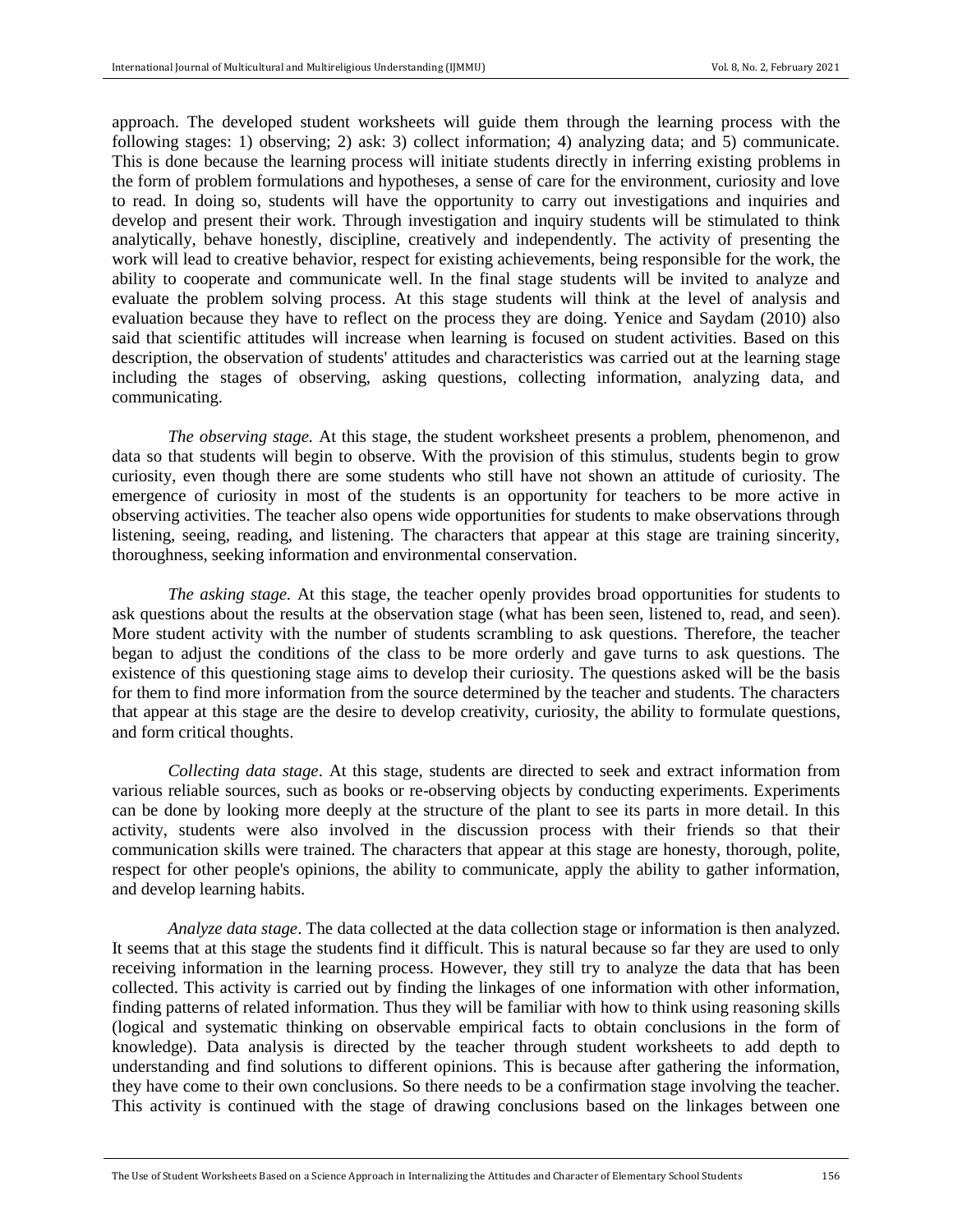approach. The developed student worksheets will guide them through the learning process with the following stages: 1) observing; 2) ask: 3) collect information; 4) analyzing data; and 5) communicate. This is done because the learning process will initiate students directly in inferring existing problems in the form of problem formulations and hypotheses, a sense of care for the environment, curiosity and love to read. In doing so, students will have the opportunity to carry out investigations and inquiries and develop and present their work. Through investigation and inquiry students will be stimulated to think analytically, behave honestly, discipline, creatively and independently. The activity of presenting the work will lead to creative behavior, respect for existing achievements, being responsible for the work, the ability to cooperate and communicate well. In the final stage students will be invited to analyze and evaluate the problem solving process. At this stage students will think at the level of analysis and evaluation because they have to reflect on the process they are doing. Yenice and Saydam (2010) also said that scientific attitudes will increase when learning is focused on student activities. Based on this description, the observation of students' attitudes and characteristics was carried out at the learning stage including the stages of observing, asking questions, collecting information, analyzing data, and communicating.

*The observing stage.* At this stage, the student worksheet presents a problem, phenomenon, and data so that students will begin to observe. With the provision of this stimulus, students begin to grow curiosity, even though there are some students who still have not shown an attitude of curiosity. The emergence of curiosity in most of the students is an opportunity for teachers to be more active in observing activities. The teacher also opens wide opportunities for students to make observations through listening, seeing, reading, and listening. The characters that appear at this stage are training sincerity, thoroughness, seeking information and environmental conservation.

*The asking stage.* At this stage, the teacher openly provides broad opportunities for students to ask questions about the results at the observation stage (what has been seen, listened to, read, and seen). More student activity with the number of students scrambling to ask questions. Therefore, the teacher began to adjust the conditions of the class to be more orderly and gave turns to ask questions. The existence of this questioning stage aims to develop their curiosity. The questions asked will be the basis for them to find more information from the source determined by the teacher and students. The characters that appear at this stage are the desire to develop creativity, curiosity, the ability to formulate questions, and form critical thoughts.

*Collecting data stage*. At this stage, students are directed to seek and extract information from various reliable sources, such as books or re-observing objects by conducting experiments. Experiments can be done by looking more deeply at the structure of the plant to see its parts in more detail. In this activity, students were also involved in the discussion process with their friends so that their communication skills were trained. The characters that appear at this stage are honesty, thorough, polite, respect for other people's opinions, the ability to communicate, apply the ability to gather information, and develop learning habits.

*Analyze data stage*. The data collected at the data collection stage or information is then analyzed. It seems that at this stage the students find it difficult. This is natural because so far they are used to only receiving information in the learning process. However, they still try to analyze the data that has been collected. This activity is carried out by finding the linkages of one information with other information, finding patterns of related information. Thus they will be familiar with how to think using reasoning skills (logical and systematic thinking on observable empirical facts to obtain conclusions in the form of knowledge). Data analysis is directed by the teacher through student worksheets to add depth to understanding and find solutions to different opinions. This is because after gathering the information, they have come to their own conclusions. So there needs to be a confirmation stage involving the teacher. This activity is continued with the stage of drawing conclusions based on the linkages between one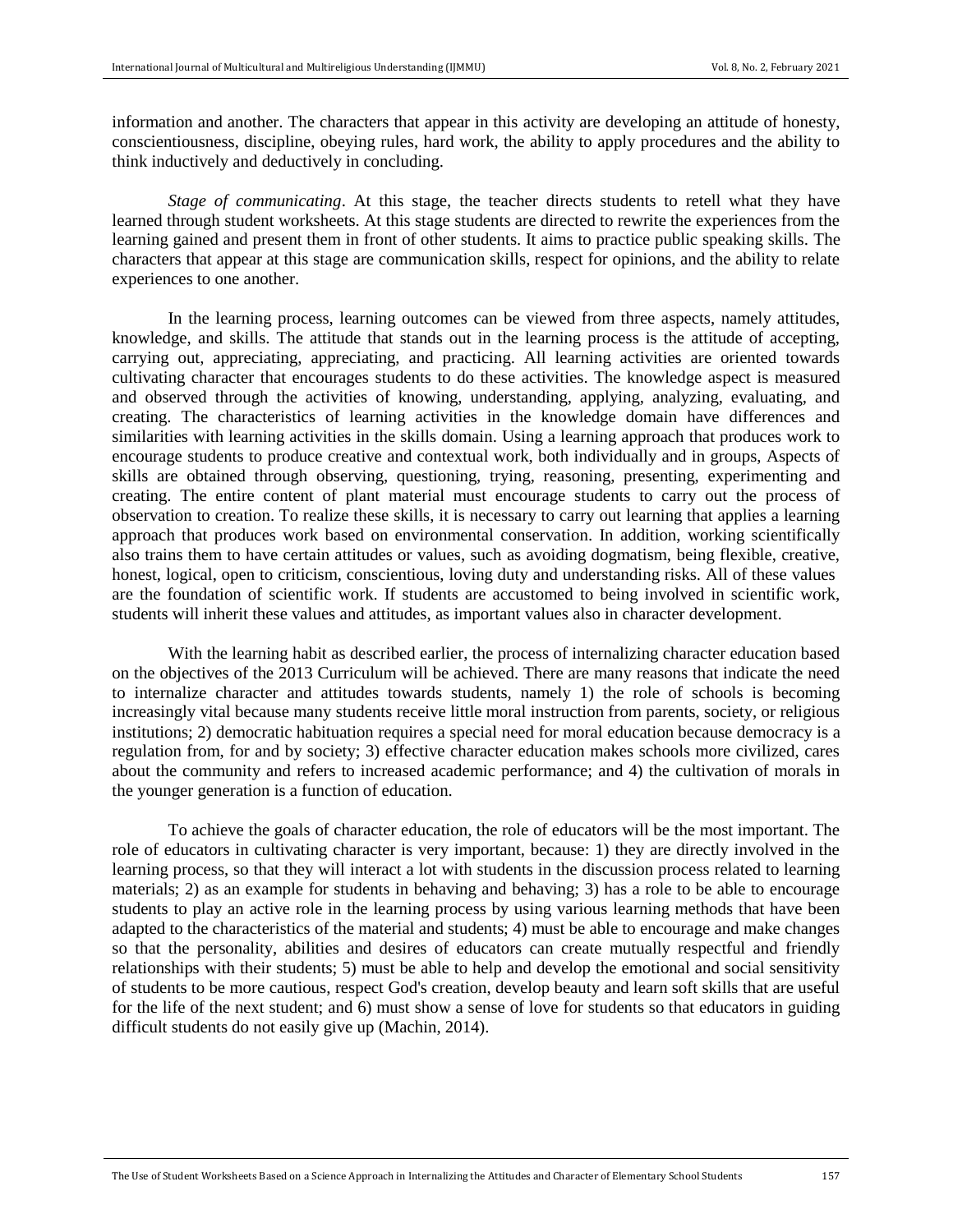information and another. The characters that appear in this activity are developing an attitude of honesty, conscientiousness, discipline, obeying rules, hard work, the ability to apply procedures and the ability to think inductively and deductively in concluding.

*Stage of communicating*. At this stage, the teacher directs students to retell what they have learned through student worksheets. At this stage students are directed to rewrite the experiences from the learning gained and present them in front of other students. It aims to practice public speaking skills. The characters that appear at this stage are communication skills, respect for opinions, and the ability to relate experiences to one another.

In the learning process, learning outcomes can be viewed from three aspects, namely attitudes, knowledge, and skills. The attitude that stands out in the learning process is the attitude of accepting, carrying out, appreciating, appreciating, and practicing. All learning activities are oriented towards cultivating character that encourages students to do these activities. The knowledge aspect is measured and observed through the activities of knowing, understanding, applying, analyzing, evaluating, and creating. The characteristics of learning activities in the knowledge domain have differences and similarities with learning activities in the skills domain. Using a learning approach that produces work to encourage students to produce creative and contextual work, both individually and in groups, Aspects of skills are obtained through observing, questioning, trying, reasoning, presenting, experimenting and creating. The entire content of plant material must encourage students to carry out the process of observation to creation. To realize these skills, it is necessary to carry out learning that applies a learning approach that produces work based on environmental conservation. In addition, working scientifically also trains them to have certain attitudes or values, such as avoiding dogmatism, being flexible, creative, honest, logical, open to criticism, conscientious, loving duty and understanding risks. All of these values are the foundation of scientific work. If students are accustomed to being involved in scientific work, students will inherit these values and attitudes, as important values also in character development.

With the learning habit as described earlier, the process of internalizing character education based on the objectives of the 2013 Curriculum will be achieved. There are many reasons that indicate the need to internalize character and attitudes towards students, namely 1) the role of schools is becoming increasingly vital because many students receive little moral instruction from parents, society, or religious institutions; 2) democratic habituation requires a special need for moral education because democracy is a regulation from, for and by society; 3) effective character education makes schools more civilized, cares about the community and refers to increased academic performance; and 4) the cultivation of morals in the younger generation is a function of education.

To achieve the goals of character education, the role of educators will be the most important. The role of educators in cultivating character is very important, because: 1) they are directly involved in the learning process, so that they will interact a lot with students in the discussion process related to learning materials; 2) as an example for students in behaving and behaving; 3) has a role to be able to encourage students to play an active role in the learning process by using various learning methods that have been adapted to the characteristics of the material and students; 4) must be able to encourage and make changes so that the personality, abilities and desires of educators can create mutually respectful and friendly relationships with their students; 5) must be able to help and develop the emotional and social sensitivity of students to be more cautious, respect God's creation, develop beauty and learn soft skills that are useful for the life of the next student; and 6) must show a sense of love for students so that educators in guiding difficult students do not easily give up (Machin, 2014).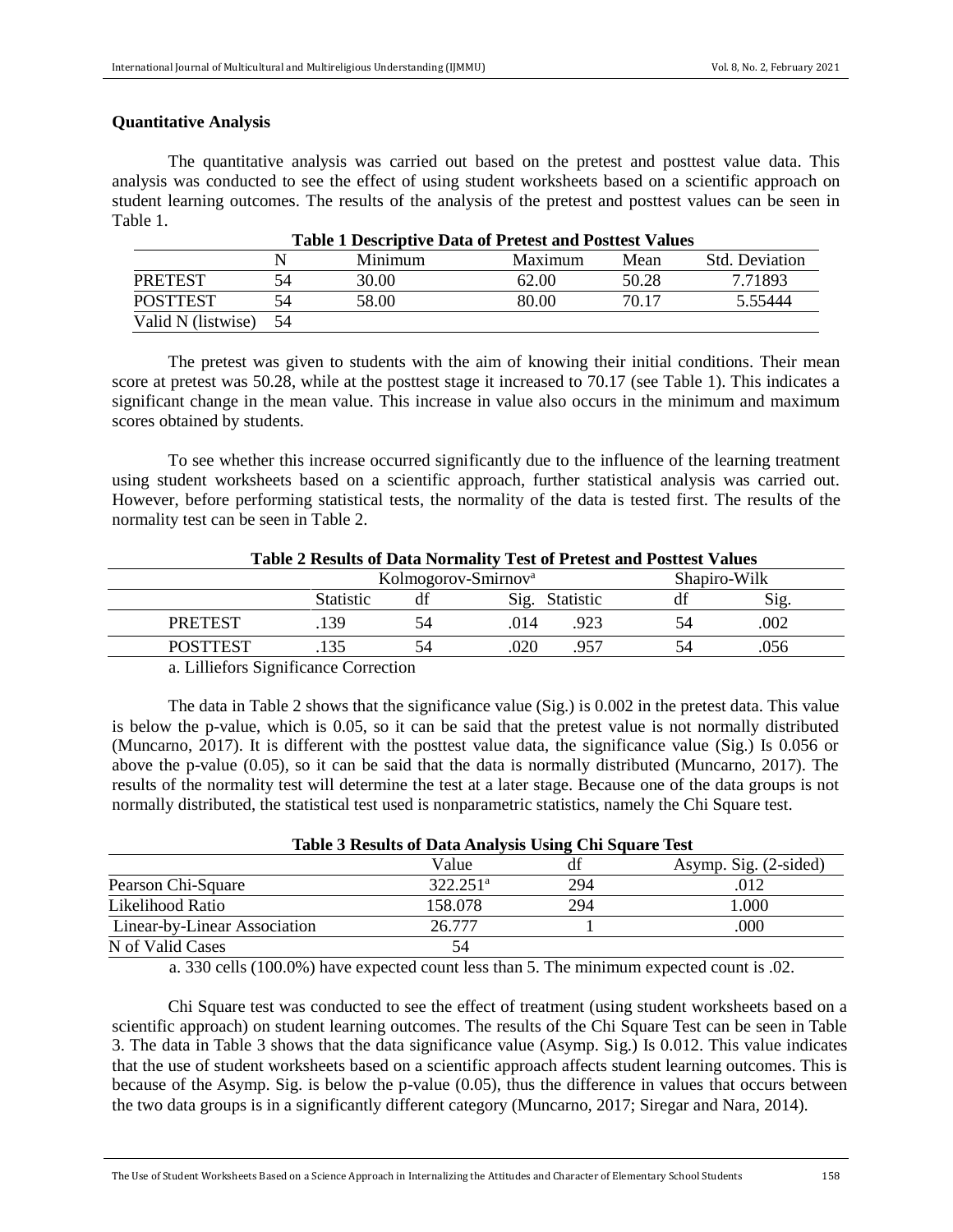# **Quantitative Analysis**

The quantitative analysis was carried out based on the pretest and posttest value data. This analysis was conducted to see the effect of using student worksheets based on a scientific approach on student learning outcomes. The results of the analysis of the pretest and posttest values can be seen in Table 1.

|                    |     | Minimum | Maximum | Mean  | <b>Std. Deviation</b> |  |  |  |
|--------------------|-----|---------|---------|-------|-----------------------|--|--|--|
| <b>PRETEST</b>     |     | 30.00   | 62.00   | 50.28 | 7.71893               |  |  |  |
| POSTTEST           |     | 58.00   | 80.00   | 70.17 | 5.55444               |  |  |  |
| Valid N (listwise) | -54 |         |         |       |                       |  |  |  |

**Table 1 Descriptive Data of Pretest and Posttest Values**

The pretest was given to students with the aim of knowing their initial conditions. Their mean score at pretest was 50.28, while at the posttest stage it increased to 70.17 (see Table 1). This indicates a significant change in the mean value. This increase in value also occurs in the minimum and maximum scores obtained by students.

To see whether this increase occurred significantly due to the influence of the learning treatment using student worksheets based on a scientific approach, further statistical analysis was carried out. However, before performing statistical tests, the normality of the data is tested first. The results of the normality test can be seen in Table 2.

| Table 2 Results of Data Formally Test of Freeder and Fostlest Values |                  |                                 |      |                |    |              |  |
|----------------------------------------------------------------------|------------------|---------------------------------|------|----------------|----|--------------|--|
|                                                                      |                  | Kolmogorov-Smirnov <sup>a</sup> |      |                |    | Shapiro-Wilk |  |
|                                                                      | <b>Statistic</b> |                                 |      | Sig. Statistic | αı |              |  |
| <b>PRETEST</b>                                                       | 139              | 54                              | .014 | 923            |    | .002         |  |
| POSTTEST                                                             |                  | 54                              | 020  | 957            |    | .056.        |  |

# **Table 2 Results of Data Normality Test of Pretest and Posttest Values**

a. Lilliefors Significance Correction

The data in Table 2 shows that the significance value (Sig.) is 0.002 in the pretest data. This value is below the p-value, which is 0.05, so it can be said that the pretest value is not normally distributed (Muncarno, 2017). It is different with the posttest value data, the significance value (Sig.) Is 0.056 or above the p-value (0.05), so it can be said that the data is normally distributed (Muncarno, 2017). The results of the normality test will determine the test at a later stage. Because one of the data groups is not normally distributed, the statistical test used is nonparametric statistics, namely the Chi Square test.

| Table 3 Results of Data Analysis Using Chi Square Test |                   |     |                       |  |  |  |  |
|--------------------------------------------------------|-------------------|-----|-----------------------|--|--|--|--|
|                                                        | Value             |     | Asymp. Sig. (2-sided) |  |  |  |  |
| Pearson Chi-Square                                     | $322.251^{\circ}$ | 294 | .012                  |  |  |  |  |
| Likelihood Ratio                                       | 158.078           | 294 | 000.1                 |  |  |  |  |
| Linear-by-Linear Association                           | 26.777            |     | .000                  |  |  |  |  |
| N of Valid Cases                                       | 54                |     |                       |  |  |  |  |

**Table 3 Results of Data Analysis Using Chi Square Test**

a. 330 cells (100.0%) have expected count less than 5. The minimum expected count is .02.

Chi Square test was conducted to see the effect of treatment (using student worksheets based on a scientific approach) on student learning outcomes. The results of the Chi Square Test can be seen in Table 3. The data in Table 3 shows that the data significance value (Asymp. Sig.) Is 0.012. This value indicates that the use of student worksheets based on a scientific approach affects student learning outcomes. This is because of the Asymp. Sig. is below the p-value (0.05), thus the difference in values that occurs between the two data groups is in a significantly different category (Muncarno, 2017; Siregar and Nara, 2014).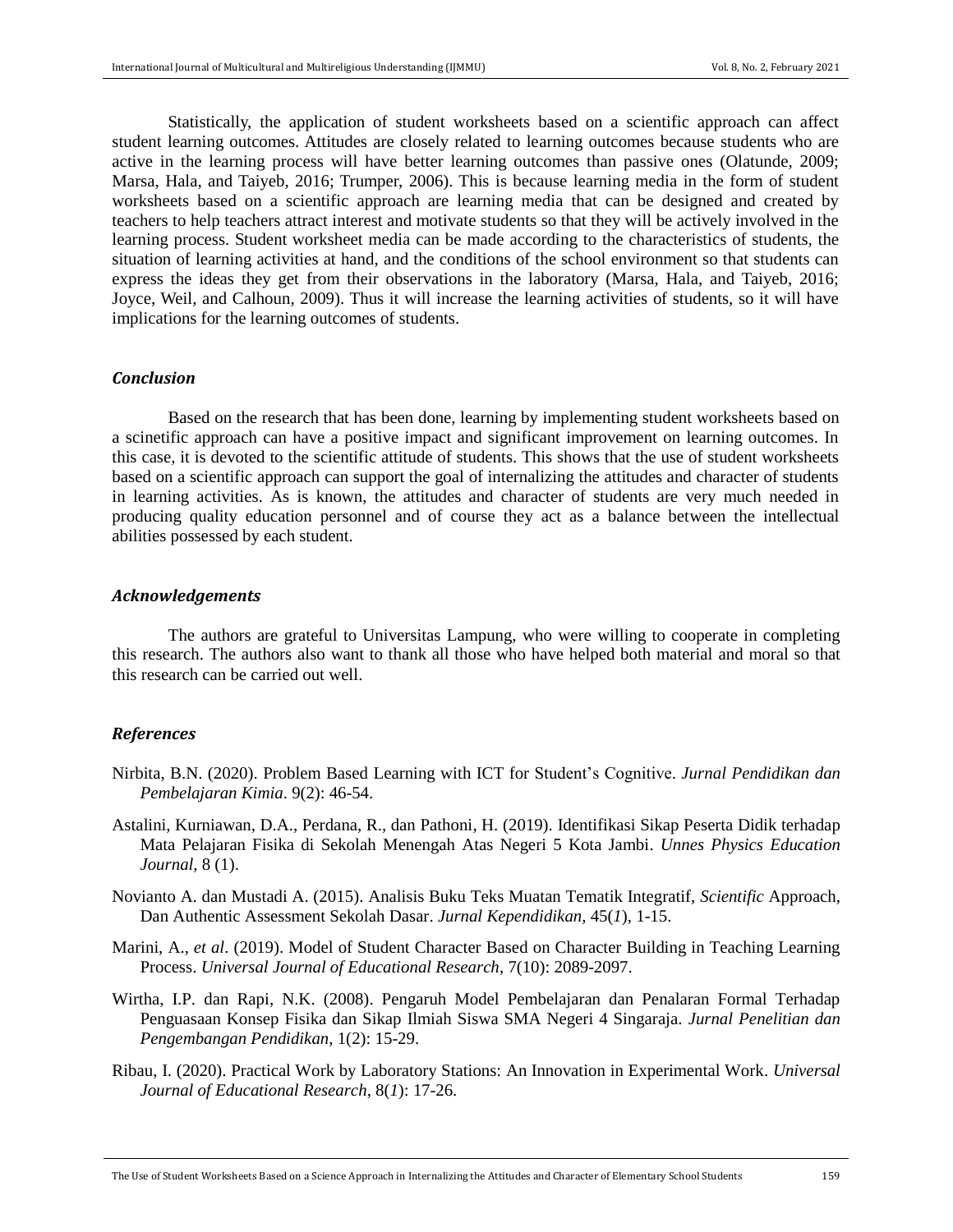Statistically, the application of student worksheets based on a scientific approach can affect student learning outcomes. Attitudes are closely related to learning outcomes because students who are active in the learning process will have better learning outcomes than passive ones (Olatunde, 2009; Marsa, Hala, and Taiyeb, 2016; Trumper, 2006). This is because learning media in the form of student worksheets based on a scientific approach are learning media that can be designed and created by teachers to help teachers attract interest and motivate students so that they will be actively involved in the learning process. Student worksheet media can be made according to the characteristics of students, the situation of learning activities at hand, and the conditions of the school environment so that students can express the ideas they get from their observations in the laboratory (Marsa, Hala, and Taiyeb, 2016; Joyce, Weil, and Calhoun, 2009). Thus it will increase the learning activities of students, so it will have implications for the learning outcomes of students.

#### *Conclusion*

Based on the research that has been done, learning by implementing student worksheets based on a scinetific approach can have a positive impact and significant improvement on learning outcomes. In this case, it is devoted to the scientific attitude of students. This shows that the use of student worksheets based on a scientific approach can support the goal of internalizing the attitudes and character of students in learning activities. As is known, the attitudes and character of students are very much needed in producing quality education personnel and of course they act as a balance between the intellectual abilities possessed by each student.

#### *Acknowledgements*

The authors are grateful to Universitas Lampung, who were willing to cooperate in completing this research. The authors also want to thank all those who have helped both material and moral so that this research can be carried out well.

#### *References*

- Nirbita, B.N. (2020). Problem Based Learning with ICT for Student's Cognitive. *Jurnal Pendidikan dan Pembelajaran Kimia*. 9(2): 46-54.
- Astalini, Kurniawan, D.A., Perdana, R., dan Pathoni, H. (2019). Identifikasi Sikap Peserta Didik terhadap Mata Pelajaran Fisika di Sekolah Menengah Atas Negeri 5 Kota Jambi. *Unnes Physics Education Journal*, 8 (1).
- Novianto A. dan Mustadi A. (2015). Analisis Buku Teks Muatan Tematik Integratif, *Scientific* Approach, Dan Authentic Assessment Sekolah Dasar. *Jurnal Kependidikan*, 45(*1*), 1-15.
- Marini, A., *et al*. (2019). Model of Student Character Based on Character Building in Teaching Learning Process. *Universal Journal of Educational Research*, 7(10): 2089-2097.
- Wirtha, I.P. dan Rapi, N.K. (2008). Pengaruh Model Pembelajaran dan Penalaran Formal Terhadap Penguasaan Konsep Fisika dan Sikap Ilmiah Siswa SMA Negeri 4 Singaraja. *Jurnal Penelitian dan Pengembangan Pendidikan*, 1(2): 15-29.
- Ribau, I. (2020). Practical Work by Laboratory Stations: An Innovation in Experimental Work. *Universal Journal of Educational Research*, 8(*1*): 17-26.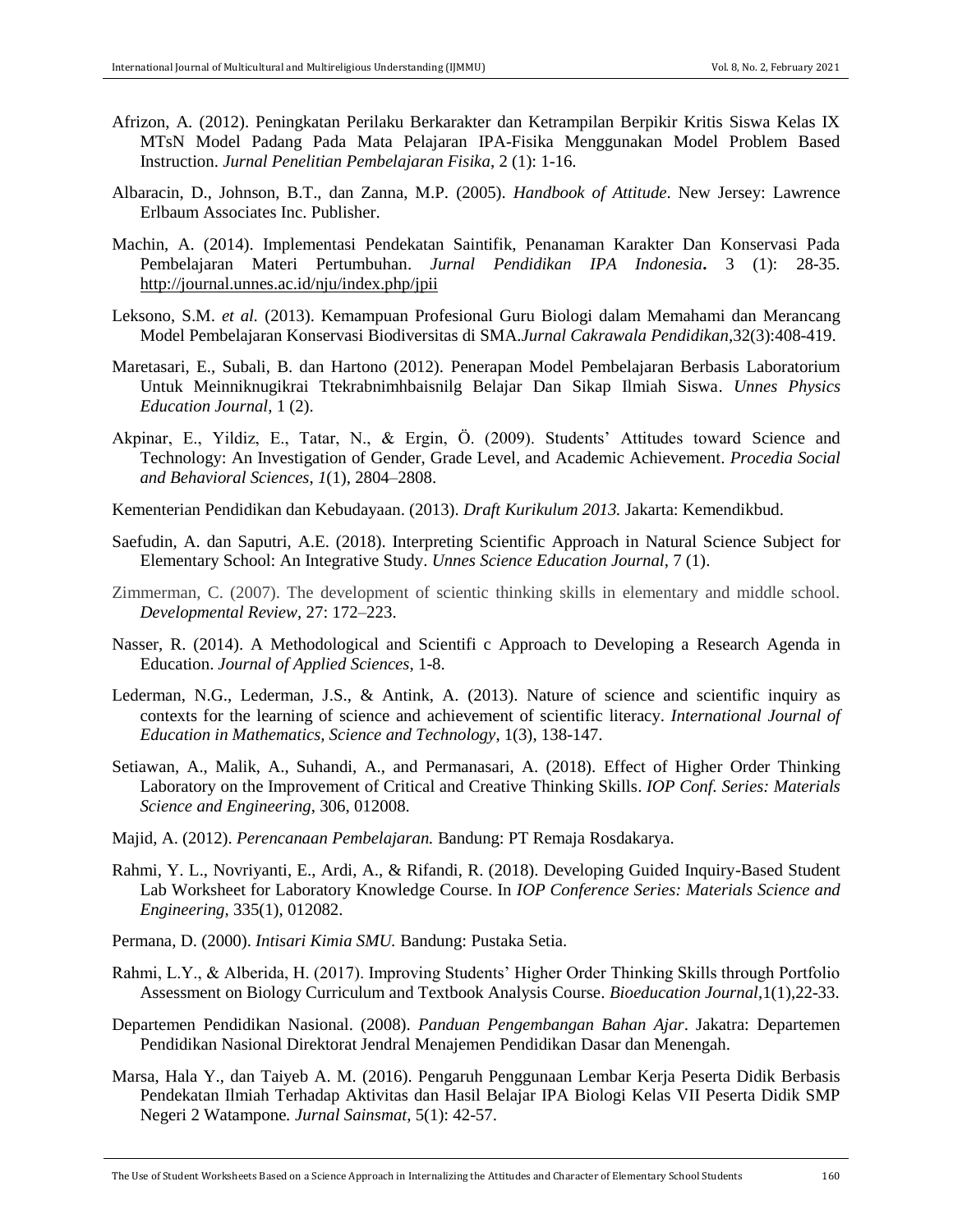- Afrizon, A*.* (2012). Peningkatan Perilaku Berkarakter dan Ketrampilan Berpikir Kritis Siswa Kelas IX MTsN Model Padang Pada Mata Pelajaran IPA-Fisika Menggunakan Model Problem Based Instruction. *Jurnal Penelitian Pembelajaran Fisika*, 2 (1): 1-16.
- Albaracin, D., Johnson, B.T., dan Zanna, M.P. (2005). *Handbook of Attitude*. New Jersey: Lawrence Erlbaum Associates Inc. Publisher.
- Machin, A. (2014). Implementasi Pendekatan Saintifik, Penanaman Karakter Dan Konservasi Pada Pembelajaran Materi Pertumbuhan. *Jurnal Pendidikan IPA Indonesia***.** 3 (1): 28-35. <http://journal.unnes.ac.id/nju/index.php/jpii>
- Leksono, S.M. *et al.* (2013). Kemampuan Profesional Guru Biologi dalam Memahami dan Merancang Model Pembelajaran Konservasi Biodiversitas di SMA.*Jurnal Cakrawala Pendidikan*,32(3):408-419.
- Maretasari, E., Subali, B. dan Hartono (2012). Penerapan Model Pembelajaran Berbasis Laboratorium Untuk Meinniknugikrai Ttekrabnimhbaisnilg Belajar Dan Sikap Ilmiah Siswa. *Unnes Physics Education Journal*, 1 (2).
- Akpinar, E., Yildiz, E., Tatar, N., & Ergin, Ö. (2009). Students' Attitudes toward Science and Technology: An Investigation of Gender, Grade Level, and Academic Achievement. *Procedia Social and Behavioral Sciences*, *1*(1), 2804–2808.

Kementerian Pendidikan dan Kebudayaan. (2013). *Draft Kurikulum 2013.* Jakarta: Kemendikbud.

- Saefudin, A. dan Saputri, A.E. (2018). Interpreting Scientific Approach in Natural Science Subject for Elementary School: An Integrative Study. *Unnes Science Education Journal*, 7 (1).
- Zimmerman, C. (2007). The development of scientic thinking skills in elementary and middle school. *Developmental Review*, 27: 172–223.
- Nasser, R. (2014). A Methodological and Scientifi c Approach to Developing a Research Agenda in Education. *Journal of Applied Sciences*, 1-8.
- Lederman, N.G., Lederman, J.S., & Antink, A. (2013). Nature of science and scientific inquiry as contexts for the learning of science and achievement of scientific literacy. *International Journal of Education in Mathematics, Science and Technology*, 1(3), 138-147.
- Setiawan, A., Malik, A., Suhandi, A., and Permanasari, A. (2018). Effect of Higher Order Thinking Laboratory on the Improvement of Critical and Creative Thinking Skills. *IOP Conf. Series: Materials Science and Engineering*, 306, 012008.
- Majid, A. (2012). *Perencanaan Pembelajaran.* Bandung: PT Remaja Rosdakarya.
- Rahmi, Y. L., Novriyanti, E., Ardi, A., & Rifandi, R. (2018). Developing Guided Inquiry-Based Student Lab Worksheet for Laboratory Knowledge Course. In *IOP Conference Series: Materials Science and Engineering,* 335(1), 012082.
- Permana, D. (2000). *Intisari Kimia SMU.* Bandung: Pustaka Setia.
- Rahmi, L.Y., & Alberida, H. (2017). Improving Students' Higher Order Thinking Skills through Portfolio Assessment on Biology Curriculum and Textbook Analysis Course. *Bioeducation Journal*,1(1),22-33.
- Departemen Pendidikan Nasional. (2008). *Panduan Pengembangan Bahan Ajar*. Jakatra: Departemen Pendidikan Nasional Direktorat Jendral Menajemen Pendidikan Dasar dan Menengah.
- Marsa, Hala Y., dan Taiyeb A. M. (2016). Pengaruh Penggunaan Lembar Kerja Peserta Didik Berbasis Pendekatan Ilmiah Terhadap Aktivitas dan Hasil Belajar IPA Biologi Kelas VII Peserta Didik SMP Negeri 2 Watampone*. Jurnal Sainsmat*, 5(1): 42-57.